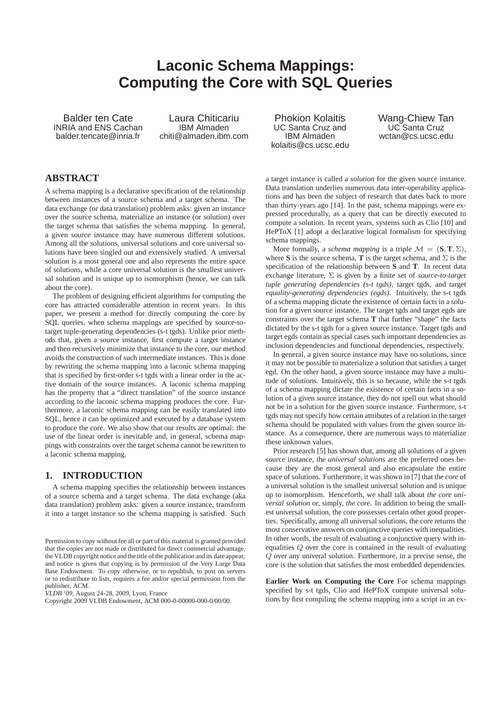# **Laconic Schema Mappings: Computing the Core with SQL Queries**

Balder ten Cate INRIA and ENS Cachan balder.tencate@inria.fr

Laura Chiticariu IBM Almaden chiti@almaden.ibm.com

Phokion Kolaitis UC Santa Cruz and IBM Almaden kolaitis@cs.ucsc.edu Wang-Chiew Tan UC Santa Cruz wctan@cs.ucsc.edu

# **ABSTRACT**

A schema mapping is a declarative specification of the relationship between instances of a source schema and a target schema. The data exchange (or data translation) problem asks: given an instance over the source schema, materialize an instance (or solution) over the target schema that satisfies the schema mapping. In general, a given source instance may have numerous different solutions. Among all the solutions, universal solutions and core universal solutions have been singled out and extensively studied. A universal solution is a most general one and also represents the entire space of solutions, while a core universal solution is the smallest universal solution and is unique up to isomorphism (hence, we can talk about the core).

The problem of designing efficient algorithms for computing the core has attracted considerable attention in recent years. In this paper, we present a method for directly computing the core by SQL queries, when schema mappings are specified by source-totarget tuple-generating dependencies (s-t tgds). Unlike prior methods that, given a source instance, first compute a target instance and then recursively minimize that instance to the core, our method avoids the construction of such intermediate instances. This is done by rewriting the schema mapping into a laconic schema mapping that is specified by first-order s-t tgds with a linear order in the active domain of the source instances. A laconic schema mapping has the property that a "direct translation" of the source instance according to the laconic schema mapping produces the core. Furthermore, a laconic schema mapping can be easily translated into SQL, hence it can be optimized and executed by a database system to produce the core. We also show that our results are optimal: the use of the linear order is inevitable and, in general, schema mappings with constraints over the target schema cannot be rewritten to a laconic schema mapping.

# **1. INTRODUCTION**

A schema mapping specifies the relationship between instances of a source schema and a target schema. The data exchange (aka data translation) problem asks: given a source instance, transform it into a target instance so the schema mapping is satisfied. Such

*VLDB '09,* August 24-28, 2009, Lyon, France

a target instance is called a *solution* for the given source instance. Data translation underlies numerous data inter-operability applications and has been the subject of research that dates back to more than thirty-years ago [14]. In the past, schema mappings were expressed procedurally, as a query that can be directly executed to compute a solution. In recent years, systems such as Clio [10] and HePToX [1] adopt a declarative logical formalism for specifying schema mappings.

More formally, a *schema mapping* is a triple  $\mathcal{M} = (\mathbf{S}, \mathbf{T}, \Sigma)$ , where **S** is the source schema, **T** is the target schema, and  $\Sigma$  is the specification of the relationship between **S** and **T**. In recent data exchange literature, Σ is given by a finite set of *source-to-target tuple generating dependencies (s-t tgds)*, target tgds, and target *equality-generating dependencies (egds)*. Intuitively, the s-t tgds of a schema mapping dictate the existence of certain facts in a solution for a given source instance. The target tgds and target egds are constraints over the target schema **T** that further "shape" the facts dictated by the s-t tgds for a given source instance. Target tgds and target egds contain as special cases such important dependencies as inclusion dependencies and functional dependencies, respectively.

In general, a given source instance may have no solutions, since it may not be possible to materialize a solution that satisfies a target egd. On the other hand, a given source instance may have a multitude of solutions. Intuitively, this is so because, while the s-t tgds of a schema mapping dictate the existence of certain facts in a solution of a given source instance, they do not spell out what should not be in a solution for the given source instance. Furthermore, s-t tgds may not specify how certain attributes of a relation in the target schema should be populated with values from the given source instance. As a consequence, there are numerous ways to materialize these unknown values.

Prior research [5] has shown that, among all solutions of a given source instance, the *universal solutions* are the preferred ones because they are the most general and also encapsulate the entire space of solutions. Furthermore, it was shown in [7] that the *core* of a universal solution is the smallest universal solution and is unique up to isomorphism. Henceforth, we shall talk about *the core universal solution* or, simply, *the core*. In addition to being the smallest universal solution, the core possesses certain other good properties. Specifically, among all universal solutions, the core returns the most conservative answers on conjunctive queries with inequalities. In other words, the result of evaluating a conjunctive query with inequalities Q over the core is contained in the result of evaluating  $\overline{Q}$  over any univeral solution. Furthermore, in a precise sense, the core is the solution that satisfies the most embedded dependencies.

**Earlier Work on Computing the Core** For schema mappings specified by s-t tgds, Clio and HePToX compute universal solutions by first compiling the schema mapping into a script in an ex-

Permission to copy without fee all or part of this material is granted provided that the copies are not made or distributed for direct commercial advantage, the VLDB copyright notice and the title of the publication and its date appear, and notice is given that copying is by permission of the Very Large Data Base Endowment. To copy otherwise, or to republish, to post on servers or to redistribute to lists, requires a fee and/or special permission from the publisher, ACM.

Copyright 2009 VLDB Endowment, ACM 000-0-00000-000-0/00/00.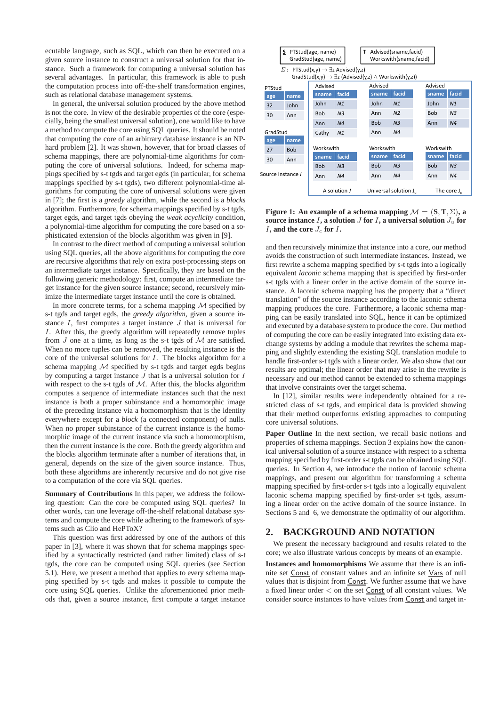ecutable language, such as SQL, which can then be executed on a given source instance to construct a universal solution for that instance. Such a framework for computing a universal solution has several advantages. In particular, this framework is able to push the computation process into off-the-shelf transformation engines, such as relational database management systems.

In general, the universal solution produced by the above method is not the core. In view of the desirable properties of the core (especially, being the smallest universal solution), one would like to have a method to compute the core using SQL queries. It should be noted that computing the core of an arbitrary database instance is an NPhard problem [2]. It was shown, however, that for broad classes of schema mappings, there are polynomial-time algorithms for computing the core of universal solutions. Indeed, for schema mappings specified by s-t tgds and target egds (in particular, for schema mappings specified by s-t tgds), two different polynomial-time algorithms for computing the core of universal solutions were given in [7]; the first is a *greedy* algorithm, while the second is a *blocks* algorithm. Furthermore, for schema mappings specified by s-t tgds, target egds, and target tgds obeying the *weak acyclicity* condition, a polynomial-time algorithm for computing the core based on a sophisticated extension of the blocks algorithm was given in [9].

In contrast to the direct method of computing a universal solution using SQL queries, all the above algorithms for computing the core are recursive algorithms that rely on extra post-processing steps on an intermediate target instance. Specifically, they are based on the following generic methodology: first, compute an intermediate target instance for the given source instance; second, recursively minimize the intermediate target instance until the core is obtained.

In more concrete terms, for a schema mapping  $M$  specified by s-t tgds and target egds, the *greedy algorithm*, given a source instance  $I$ , first computes a target instance  $J$  that is universal for I. After this, the greedy algorithm will repeatedly remove tuples from  $J$  one at a time, as long as the s-t tgds of  $M$  are satisfied. When no more tuples can be removed, the resulting instance is the core of the universal solutions for  $I$ . The blocks algorithm for a schema mapping  $M$  specified by s-t tgds and target egds begins by computing a target instance  $J$  that is a universal solution for  $I$ with respect to the s-t tgds of  $M$ . After this, the blocks algorithm computes a sequence of intermediate instances such that the next instance is both a proper subinstance and a homomorphic image of the preceding instance via a homomorphism that is the identity everywhere except for a *block* (a connected component) of nulls. When no proper subinstance of the current instance is the homomorphic image of the current instance via such a homomorphism, then the current instance is the core. Both the greedy algorithm and the blocks algorithm terminate after a number of iterations that, in general, depends on the size of the given source instance. Thus, both these algorithms are inherently recursive and do not give rise to a computation of the core via SQL queries.

**Summary of Contributions** In this paper, we address the following question: Can the core be computed using SQL queries? In other words, can one leverage off-the-shelf relational database systems and compute the core while adhering to the framework of systems such as Clio and HePToX?

This question was first addressed by one of the authors of this paper in [3], where it was shown that for schema mappings specified by a syntactically restricted (and rather limited) class of s-t tgds, the core can be computed using SQL queries (see Section 5.1). Here, we present a method that applies to every schema mapping specified by s-t tgds and makes it possible to compute the core using SQL queries. Unlike the aforementioned prior methods that, given a source instance, first compute a target instance



**Figure 1:** An example of a schema mapping  $\mathcal{M} = (\mathbf{S}, \mathbf{T}, \Sigma)$ , a **source instance**  $I$ **, a solution**  $J$  **for**  $I$ **, a universal solution**  $J_u$  **for** I**, and the core** J<sup>c</sup> **for** I**.**

and then recursively minimize that instance into a core, our method avoids the construction of such intermediate instances. Instead, we first rewrite a schema mapping specified by s-t tgds into a logically equivalent *laconic* schema mapping that is specified by first-order s-t tgds with a linear order in the active domain of the source instance. A laconic schema mapping has the property that a "direct translation" of the source instance according to the laconic schema mapping produces the core. Furthermore, a laconic schema mapping can be easily translated into SQL, hence it can be optimized and executed by a database system to produce the core. Our method of computing the core can be easily integrated into existing data exchange systems by adding a module that rewrites the schema mapping and slightly extending the existing SQL translation module to handle first-order s-t tgds with a linear order. We also show that our results are optimal; the linear order that may arise in the rewrite is necessary and our method cannot be extended to schema mappings that involve constraints over the target schema.

In [12], similar results were independently obtained for a restricted class of s-t tgds, and empirical data is provided showing that their method outperforms existing approaches to computing core universal solutions.

Paper Outline In the next section, we recall basic notions and properties of schema mappings. Section 3 explains how the canonical universal solution of a source instance with respect to a schema mapping specified by first-order s-t tgds can be obtained using SQL queries. In Section 4, we introduce the notion of laconic schema mappings, and present our algorithm for transforming a schema mapping specified by first-order s-t tgds into a logically equivalent laconic schema mapping specified by first-order s-t tgds, assuming a linear order on the active domain of the source instance. In Sections 5 and 6, we demonstrate the optimality of our algorithm.

# **2. BACKGROUND AND NOTATION**

We present the necessary background and results related to the core; we also illustrate various concepts by means of an example.

**Instances and homomorphisms** We assume that there is an infinite set Const of constant values and an infinite set Vars of null values that is disjoint from Const. We further assume that we have a fixed linear order < on the set Const of all constant values. We consider source instances to have values from Const and target in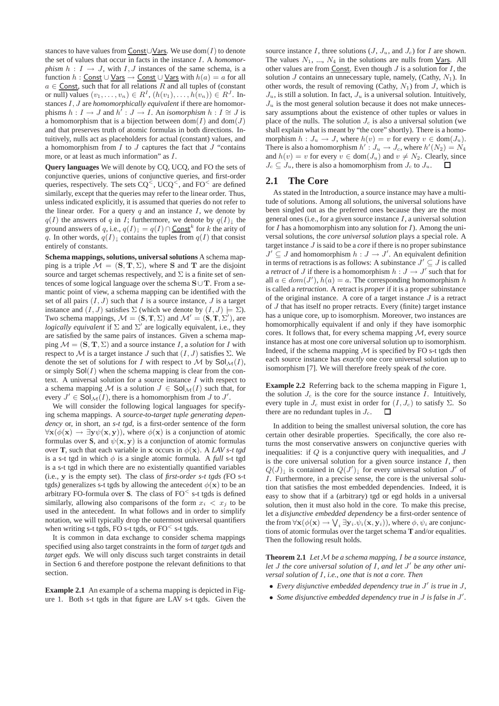stances to have values from Const∪Vars. We use dom(I) to denote the set of values that occur in facts in the instance I. A *homomorphism*  $h: I \rightarrow J$ , with I, J instances of the same schema, is a function  $h:$  Const ∪ Vars  $\rightarrow$  Const ∪ Vars with  $h(a) = a$  for all  $a \in$  Const, such that for all relations R and all tuples of (constant or null) values  $(v_1, \ldots, v_n) \in R^I$ ,  $(h(v_1), \ldots, h(v_n)) \in R^J$ . Instances I, J are *homomorphically equivalent* if there are homomorphisms  $h: I \to J$  and  $h' : J \to I$ . An *isomorphism*  $h: I \cong J$  is a homomorphism that is a bijection between  $dom(I)$  and  $dom(J)$ and that preserves truth of atomic formulas in both directions. Intuitively, nulls act as placeholders for actual (constant) values, and a homomorphism from  $I$  to  $J$  captures the fact that  $J$  "contains" more, or at least as much information" as  $I$ .

**Query languages** We will denote by CQ, UCQ, and FO the sets of conjunctive queries, unions of conjunctive queries, and first-order queries, respectively. The sets  $CQ^<$ ,  $UCQ^<$ , and  $FO^<$  are defined similarly, except that the queries may refer to the linear order. Thus, unless indicated explicitly, it is assumed that queries do not refer to the linear order. For a query  $q$  and an instance  $I$ , we denote by  $q(I)$  the answers of q in I; furthermore, we denote by  $q(I)$ <sub>1</sub> the ground answers of q, i.e.,  $q(I)$ <sub>↓</sub> =  $q(I) \cap$ Const<sup>k</sup> for k the arity of q. In other words,  $q(I)$ <sub>1</sub> contains the tuples from  $q(I)$  that consist entirely of constants.

**Schema mappings, solutions, universal solutions** A schema mapping is a triple  $\mathcal{M} = (\mathbf{S}, \mathbf{T}, \Sigma)$ , where **S** and **T** are the disjoint source and target schemas respectively, and  $\Sigma$  is a finite set of sentences of some logical language over the schema  $S \cup T$ . From a semantic point of view, a schema mapping can be identified with the set of all pairs  $(I, J)$  such that I is a source instance, J is a target instance and  $(I, J)$  satisfies  $\Sigma$  (which we denote by  $(I, J) \models \Sigma$ ). Two schema mappings,  $\mathcal{M} = (\mathbf{S}, \mathbf{T}, \Sigma)$  and  $\mathcal{M}' = (\mathbf{S}, \mathbf{T}, \Sigma')$ , are *logically equivalent* if  $\Sigma$  and  $\Sigma'$  are logically equivalent, i.e., they are satisfied by the same pairs of instances. Given a schema mapping  $\mathcal{M} = (\mathbf{S}, \mathbf{T}, \Sigma)$  and a source instance I, a *solution* for I with respect to  $\mathcal M$  is a target instance  $J$  such that  $(I,J)$  satisfies  $\Sigma$ . We denote the set of solutions for I with respect to M by  $\text{Sol}_{\mathcal{M}}(I)$ , or simply  $\text{Sol}(I)$  when the schema mapping is clear from the context. A universal solution for a source instance  $I$  with respect to a schema mapping M is a solution  $J \in Sol_{\mathcal{M}}(I)$  such that, for every  $J' \in Sol_{\mathcal{M}}(I)$ , there is a homomorphism from  $J$  to  $J'$ .

We will consider the following logical languages for specifying schema mappings. A *source-to-target tuple generating dependency* or, in short, an *s-t tgd*, is a first-order sentence of the form  $\forall$ **x**( $\phi$ (**x**)  $\rightarrow \exists$ **y** $\psi$ (**x**, **y**)), where  $\phi$ (**x**) is a conjunction of atomic formulas over **S**, and  $\psi(\mathbf{x}, \mathbf{y})$  is a conjunction of atomic formulas over **T**, such that each variable in **x** occurs in  $\phi(\mathbf{x})$ . A *LAV s-t tgd* is a s-t tgd in which  $\phi$  is a single atomic formula. A *full* s-t tgd is a s-t tgd in which there are no existentially quantified variables (i.e., y is the empty set). The class of *first-order s-t tgds (*FO s-t tgds) generalizes s-t tgds by allowing the antecedent  $\phi(\mathbf{x})$  to be an arbitrary FO-formula over **S**. The class of  $FO<sup>6</sup>$  s-t tgds is defined similarly, allowing also comparisons of the form  $x_i < x_j$  to be used in the antecedent. In what follows and in order to simplify notation, we will typically drop the outermost universal quantifiers when writing s-t tgds, FO s-t tgds, or  $FO<$  s-t tgds.

It is common in data exchange to consider schema mappings specified using also target constraints in the form of *target tgds* and *target egds*. We will only discuss such target constraints in detail in Section 6 and therefore postpone the relevant definitions to that section.

**Example 2.1** An example of a schema mapping is depicted in Figure 1. Both s-t tgds in that figure are LAV s-t tgds. Given the

source instance I, three solutions  $(J, J_u, \text{ and } J_c)$  for I are shown. The values  $N_1$ , ...,  $N_4$  in the solutions are nulls from  $\sqrt{2}$ . All other values are from Const. Even though  $J$  is a solution for  $I$ , the solution  $J$  contains an unnecessary tuple, namely, (Cathy,  $N_1$ ). In other words, the result of removing (Cathy,  $N_1$ ) from J, which is  $J_u$ , is still a solution. In fact,  $J_u$  is a universal solution. Intuitively,  $J_u$  is the most general solution because it does not make unnecessary assumptions about the existence of other tuples or values in place of the nulls. The solution  $J_c$  is also a universal solution (we shall explain what is meant by "the core" shortly). There is a homomorphism  $h: J_u \to J$ , where  $h(v) = v$  for every  $v \in \text{dom}(J_u)$ . There is also a homomorphism  $h' : J_u \to J_c$ , where  $h'(N_2) = N_4$ and  $h(v) = v$  for every  $v \in \text{dom}(J_u)$  and  $v \neq N_2$ . Clearly, since  $J_c \subseteq J_u$ , there is also a homomorphism from  $J_c$  to  $J_u$ . ▁□

# **2.1 The Core**

As stated in the Introduction, a source instance may have a multitude of solutions. Among all solutions, the universal solutions have been singled out as the preferred ones because they are the most general ones (i.e., for a given source instance  $I$ , a universal solution for  $I$  has a homomorphism into any solution for  $I$ ). Among the universal solutions, the *core universal solution* plays a special role. A target instance J is said to be a *core* if there is no proper subinstance  $J' \subseteq J$  and homomorphism  $h : J \to J'$ . An equivalent definition in terms of retractions is as follows: A subinstance  $J' \subseteq J$  is called a *retract* of J if there is a homomorphism  $h: J \to J'$  such that for all  $a \in dom(J')$ ,  $h(a) = a$ . The corresponding homomorphism h is called a *retraction*. A retract is *proper* if it is a proper subinstance of the original instance. A core of a target instance  $J$  is a retract of  $J$  that has itself no proper retracts. Every (finite) target instance has a unique core, up to isomorphism. Moreover, two instances are homomorphically equivalent if and only if they have isomorphic cores. It follows that, for every schema mapping  $M$ , every source instance has at most one core universal solution up to isomorphism. Indeed, if the schema mapping  $M$  is specified by FO s-t tgds then each source instance has *exactly* one core universal solution up to isomorphism [7]. We will therefore freely speak of *the* core.

**Example 2.2** Referring back to the schema mapping in Figure 1, the solution  $J_c$  is the core for the source instance I. Intuitively, every tuple in  $J_c$  must exist in order for  $(I, J_c)$  to satisfy  $\Sigma$ . So there are no redundant tuples in  $J_c$ .  $\Box$ 

In addition to being the smallest universal solution, the core has certain other desirable properties. Specifically, the core also returns the most conservative answers on conjunctive queries with inequalities: if  $Q$  is a conjunctive query with inequalities, and  $J$ is the core universal solution for a given source instance  $I$ , then  $Q(J)$ <sub>↓</sub> is contained in  $Q(J')$ <sub>↓</sub> for every universal solution  $J'$  of I. Furthermore, in a precise sense, the core is the universal solution that satisfies the most embedded dependencies. Indeed, it is easy to show that if a (arbitrary) tgd or egd holds in a universal solution, then it must also hold in the core. To make this precise, let a *disjunctive embedded dependency* be a first-order sentence of the from  $\forall$ **x**( $\phi$ (**x**)  $\rightarrow$   $\bigvee_i \exists$ **y**<sub>*i*</sub>. $\psi_i$ (**x**, **y**<sub>*i*</sub>)), where  $\phi$ ,  $\psi_i$  are conjunctions of atomic formulas over the target schema **T** and/or equalities. Then the following result holds.

**Theorem 2.1** *Let*  $M$  *be a schema mapping, I be a source instance, let* J *the core universal solution of* I*, and let* J ′ *be any other universal solution of* I*, i.e., one that is not a core. Then*

- *Every disjunctive embedded dependency true in* J ′ *is true in* J*,*
- *Some disjunctive embedded dependency true in* J *is false in* J ′ *.*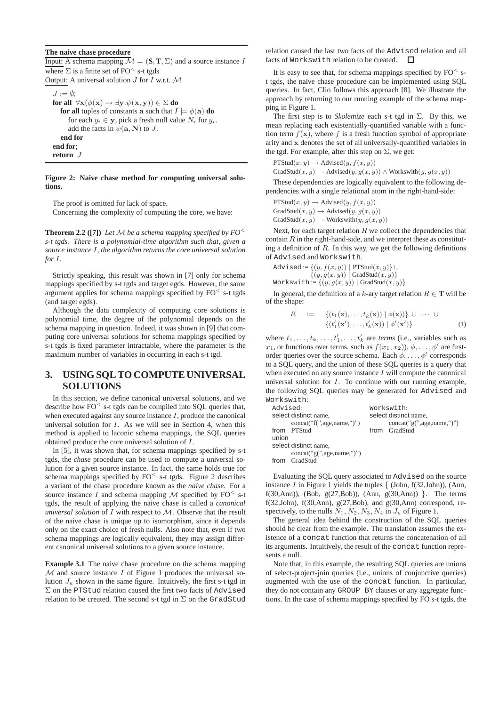## **The naive chase procedure**

Input: A schema mapping  $\mathcal{M} = (\mathbf{S}, \mathbf{T}, \Sigma)$  and a source instance I where  $\Sigma$  is a finite set of FO<sup> $\leq$ </sup> s-t tgds Output: A universal solution  $J$  for  $\overline{I}$  w.r.t.  $\mathcal M$  $J := \emptyset$ : **for all**  $\forall$ **x**( $\phi$ (**x**)  $\rightarrow \exists$ **y**. $\psi$ (**x**, **y**))  $\in \Sigma$  **do for all** tuples of constants **a** such that  $I \models \phi(\mathbf{a})$  **do** for each  $y_i \in y$ , pick a fresh null value  $N_i$  for  $y_i$ .

add the facts in  $\psi(\mathbf{a}, \mathbf{N})$  to J. **end for**

**end for**;

**return** J

#### **Figure 2: Naive chase method for computing universal solutions.**

The proof is omitted for lack of space. Concerning the complexity of computing the core, we have:

**Theorem 2.2** ([7]) Let M be a schema mapping specified by  $FO^<$ *s-t tgds. There is a polynomial-time algorithm such that, given a source instance* I*, the algorithm returns the core universal solution for* I*.*

Strictly speaking, this result was shown in [7] only for schema mappings specified by s-t tgds and target egds. However, the same argument applies for schema mappings specified by  $FO<sub>5-t</sub>$  tgds (and target egds).

Although the data complexity of computing core solutions is polynomial time, the degree of the polynomial depends on the schema mapping in question. Indeed, it was shown in [9] that computing core universal solutions for schema mappings specified by s-t tgds is fixed parameter intractable, where the parameter is the maximum number of variables in occurring in each s-t tgd.

# **3. USING SQL TO COMPUTE UNIVERSAL SOLUTIONS**

In this section, we define canonical universal solutions, and we describe how  $FO<sub>5-t</sub>$  tgds can be compiled into SQL queries that, when executed against any source instance  $I$ , produce the canonical universal solution for  $I$ . As we will see in Section 4, when this method is applied to laconic schema mappings, the SQL queries obtained produce the core universal solution of I.

In [5], it was shown that, for schema mappings specified by s-t tgds, the *chase* procedure can be used to compute a universal solution for a given source instance. In fact, the same holds true for schema mappings specified by  $FO<sub>5</sub>$  s-t tgds. Figure 2 describes a variant of the chase procedure known as the *naive chase*. For a source instance I and schema mapping  $\mathcal M$  specified by FO<sup><</sup> s-t tgds, the result of applying the naive chase is called a *canonical universal solution* of I with respect to M. Observe that the result of the naive chase is unique up to isomorphism, since it depends only on the exact choice of fresh nulls. Also note that, even if two schema mappings are logically equivalent, they may assign different canonical universal solutions to a given source instance.

**Example 3.1** The naive chase procedure on the schema mapping  $M$  and source instance  $I$  of Figure 1 produces the universal solution  $J_u$  shown in the same figure. Intuitively, the first s-t tgd in Σ on the PTStud relation caused the first two facts of Advised relation to be created. The second s-t tgd in  $\Sigma$  on the GradStud

relation caused the last two facts of the Advised relation and all facts of Workswith relation to be created.  $\Box$ 

It is easy to see that, for schema mappings specified by  $FO<sub>5</sub>$ t tgds, the naive chase procedure can be implemented using SQL queries. In fact, Clio follows this approach [8]. We illustrate the approach by returning to our running example of the schema mapping in Figure 1.

The first step is to *Skolemize* each s-t tgd in Σ. By this, we mean replacing each existentially-quantified variable with a function term  $f(\mathbf{x})$ , where f is a fresh function symbol of appropriate arity and x denotes the set of all universally-quantified variables in the tgd. For example, after this step on  $\Sigma$ , we get:

 $PTStud(x, y) \rightarrow \text{Advised}(y, f(x, y))$ 

GradStud $(x, y) \rightarrow$  Advised $(y, q(x, y)) \wedge$  Workswith $(y, q(x, y))$ 

These dependencies are logically equivalent to the following dependencies with a single relational atom in the right-hand-side:

 $PTStud(x, y) \rightarrow \text{Advised}(y, f(x, y))$  $GradStud(x, y) \rightarrow Advised(y, g(x, y))$  $GradStud(x, y) \rightarrow Workswith(y, g(x, y))$ 

Next, for each target relation  $R$  we collect the dependencies that contain  $R$  in the right-hand-side, and we interpret these as constituting a definition of  $R$ . In this way, we get the following definitions of Advised and Workswith.

$$
Advanced := \{(y, f(x, y)) \mid \text{PTStud}(x, y)\} \cup \{(y, g(x, y)) \mid \text{GradStud}(x, y)\}
$$
\n
$$
Workswitch := \{(y, g(x, y)) \mid \text{GradStud}(x, y)\}
$$

In general, the definition of a k-ary target relation  $R \in \mathbf{T}$  will be of the shape:

$$
R := \left\{ (t_1(\mathbf{x}), \dots, t_k(\mathbf{x})) \mid \phi(\mathbf{x}) \right\} \cup \cdots \cup \left\{ (t'_1(\mathbf{x}'), \dots, t'_k(\mathbf{x})) \mid \phi'(\mathbf{x}') \right\} \tag{1}
$$

where  $t_1, \ldots, t_k, \ldots, t'_1, \ldots, t'_k$  are *terms* (i.e., variables such as  $x_1$ , or functions over terms, such as  $f(x_1, x_2)$ ),  $\phi$ , ...,  $\phi'$  are firstorder queries over the source schema. Each  $\phi, \ldots, \phi'$  corresponds to a SQL query, and the union of these SQL queries is a query that when executed on any source instance  $I$  will compute the canonical universal solution for  $I$ . To continue with our running example, the following SQL queries may be generated for Advised and Workswith:

| Advised:              |                             | Workswith:            |                            |
|-----------------------|-----------------------------|-----------------------|----------------------------|
| select distinct name, |                             | select distinct name, |                            |
|                       | concat("f", age, name, ")") |                       | concat("g", age, name, ")) |
|                       | from PTStud                 |                       | from GradStud              |
| union                 |                             |                       |                            |
| select distinct name, |                             |                       |                            |
|                       | concat("g", age, name, "))  |                       |                            |
|                       | GradStud                    |                       |                            |

Evaluating the SQL query associated to Advised on the source instance I in Figure 1 yields the tuples  $\{$  (John,  $f(32, John)$ ), (Ann, f(30,Ann)), (Bob,  $g(27, Bob)$ ), (Ann,  $g(30, Ann)$ ) }. The terms f(32,John), f(30,Ann),  $g(27, Bob)$ , and  $g(30, Ann)$  correspond, respectively, to the nulls  $N_1$ ,  $N_2$ ,  $N_3$ ,  $N_4$  in  $J_u$  of Figure 1.

The general idea behind the construction of the SQL queries should be clear from the example. The translation assumes the existence of a concat function that returns the concatenation of all its arguments. Intuitively, the result of the concat function represents a null.

Note that, in this example, the resulting SQL queries are unions of select-project-join queries (i.e., unions of conjunctive queries) augmented with the use of the concat function. In particular, they do not contain any GROUP BY clauses or any aggregate functions. In the case of schema mappings specified by FO s-t tgds, the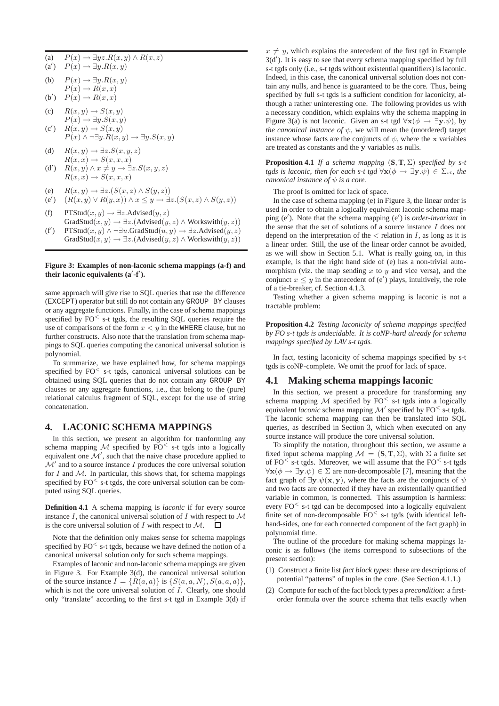(a) 
$$
P(x) \to \exists yz.R(x,y) \land R(x,z)
$$

$$
\begin{array}{ll} \n\text{(a')} & P(x) \rightarrow \exists y. R(x, y) \\
\text{(b)} & \exists y. R(x, y) \\
\end{array}
$$

- (b)  $P(x) \rightarrow \exists y. R(x,y)$  $P(x) \rightarrow R(x,x)$
- $(b')$  $P(x) \rightarrow R(x,x)$
- (c)  $R(x, y) \rightarrow S(x, y)$
- $P(x) \rightarrow \exists y.S(x,y)$  $(c')$   $R(x, y) \rightarrow S(x, y)$
- $P(x) \wedge \neg \exists y. R(x, y) \rightarrow \exists y. S(x, y)$
- (d)  $R(x, y) \rightarrow \exists z . S(x, y, z)$  $R(x, x) \rightarrow S(x, x, x)$
- $(d')$  $R(x, y) \wedge x \neq y \rightarrow \exists z.S(x, y, z)$  $R(x, x) \rightarrow S(x, x, x)$
- (e)  $R(x, y) \rightarrow \exists z . (S(x, z) \wedge S(y, z))$
- $(e')$  $(R(x, y) \vee R(y, x)) \wedge x \leq y \rightarrow \exists z. (S(x, z) \wedge S(y, z))$
- (f) PTStud $(x, y) \rightarrow \exists z$ . Advised $(y, z)$ GradStud $(x,y) \rightarrow \exists z.$ (Advised $(y,z) \wedge$ Workswith $(y,z)$ )
- $(f')$ PTStud(x, y) ∧  $\neg \exists u$ .GradStud(u, y)  $\rightarrow \exists z$ .Advised(y, z) GradStud $(x,y) \rightarrow \exists z.$ (Advised $(y,z) \wedge$ Workswith $(y,z)$ )

# **Figure 3: Examples of non-laconic schema mappings (a-f) and their laconic equivalents (a**′ **-f**′ **).**

same approach will give rise to SQL queries that use the difference (EXCEPT) operator but still do not contain any GROUP BY clauses or any aggregate functions. Finally, in the case of schema mappings specified by  $FO<sub>5</sub>$  s-t tgds, the resulting SQL queries require the use of comparisons of the form  $x < y$  in the WHERE clause, but no further constructs. Also note that the translation from schema mappings to SQL queries computing the canonical universal solution is polynomial.

To summarize, we have explained how, for schema mappings specified by FO<sup><</sup> s-t tgds, canonical universal solutions can be obtained using SQL queries that do not contain any GROUP BY clauses or any aggregate functions, i.e., that belong to the (pure) relational calculus fragment of SQL, except for the use of string concatenation.

# **4. LACONIC SCHEMA MAPPINGS**

In this section, we present an algorithm for tranforming any schema mapping  $M$  specified by FO<sup><</sup> s-t tgds into a logically equivalent one  $\mathcal{M}'$ , such that the naive chase procedure applied to  $\mathcal{M}'$  and to a source instance  $I$  produces the core universal solution for I and M. In particular, this shows that, for schema mappings specified by  $FO<sub>5</sub>$ -t tgds, the core universal solution can be computed using SQL queries.

**Definition 4.1** A schema mapping is *laconic* if for every source instance  $I$ , the canonical universal solution of  $I$  with respect to  $\mathcal M$ is the core universal solution of  $I$  with respect to  $M$ . Л

Note that the definition only makes sense for schema mappings specified by  $FO<sub>5-t</sub>$  tgds, because we have defined the notion of a canonical universal solution only for such schema mappings.

Examples of laconic and non-laconic schema mappings are given in Figure 3. For Example 3(d), the canonical universal solution of the source instance  $I = \{R(a, a)\}\$ is  $\{S(a, a, N), S(a, a, a)\}\$ which is not the core universal solution of  $I$ . Clearly, one should only "translate" according to the first s-t tgd in Example 3(d) if

 $x \neq y$ , which explains the antecedent of the first tgd in Example 3(d′ ). It is easy to see that every schema mapping specified by full s-t tgds only (i.e., s-t tgds without existential quantifiers) is laconic. Indeed, in this case, the canonical universal solution does not contain any nulls, and hence is guaranteed to be the core. Thus, being specified by full s-t tgds is a sufficient condition for laconicity, although a rather uninteresting one. The following provides us with a necessary condition, which explains why the schema mapping in Figure 3(a) is not laconic. Given an s-t tgd  $\forall$ **x**( $\phi \rightarrow \exists$ **y**. $\psi$ ), by *the canonical instance of*  $\psi$ , we will mean the (unordered) target instance whose facts are the conjuncts of  $\psi$ , where the x variables are treated as constants and the y variables as nulls.

**Proposition 4.1** *If a schema mapping* (**S**, **T**, Σ) *specified by s-t tgds is laconic, then for each s-t tgd*  $\forall$ **x**( $\phi \rightarrow \exists$ **y**. $\psi$ )  $\in \Sigma_{st}$ *, the canonical instance of* ψ *is a core.*

The proof is omitted for lack of space.

In the case of schema mapping (e) in Figure 3, the linear order is used in order to obtain a logically equivalent laconic schema mapping (e′ ). Note that the schema mapping (e′ ) is *order-invariant* in the sense that the set of solutions of a source instance  $I$  does not depend on the interpretation of the  $\lt$  relation in  $I$ , as long as it is a linear order. Still, the use of the linear order cannot be avoided, as we will show in Section 5.1. What is really going on, in this example, is that the right hand side of (e) has a non-trivial automorphism (viz. the map sending  $x$  to  $y$  and vice versa), and the conjunct  $x \leq y$  in the antecedent of (e') plays, intuitively, the role of a tie-breaker, cf. Section 4.1.3.

Testing whether a given schema mapping is laconic is not a tractable problem:

# **Proposition 4.2** *Testing laconicity of schema mappings specified by FO s-t tgds is undecidable. It is coNP-hard already for schema mappings specified by LAV s-t tgds.*

In fact, testing laconicity of schema mappings specified by s-t tgds is coNP-complete. We omit the proof for lack of space.

### **4.1 Making schema mappings laconic**

In this section, we present a procedure for transforming any schema mapping  $M$  specified by FO<sup><</sup> s-t tgds into a logically equivalent *laconic* schema mapping  $\mathcal{M}'$  specified by FO<sup><</sup> s-t tgds. The laconic schema mapping can then be translated into SQL queries, as described in Section 3, which when executed on any source instance will produce the core universal solution.

To simplify the notation, throughout this section, we assume a fixed input schema mapping  $\mathcal{M} = (\mathbf{S}, \mathbf{T}, \Sigma)$ , with  $\Sigma$  a finite set of  $FO<sup>0</sup>$  s-t tgds. Moreover, we will assume that the  $FO<sup>0</sup>$  s-t tgds  $\forall$ **x**( $\phi \rightarrow \exists$ **y**. $\psi$ )  $\in \Sigma$  are non-decomposable [7], meaning that the fact graph of  $\exists y.\psi(x, y)$ , where the facts are the conjuncts of  $\psi$ and two facts are connected if they have an existentially quantified variable in common, is connected. This assumption is harmless: every  $FO<sub>5-t</sub>$  tgd can be decomposed into a logically equivalent finite set of non-decomposable  $FO<sub>st</sub>$  tgds (with identical lefthand-sides, one for each connected component of the fact graph) in polynomial time.

The outline of the procedure for making schema mappings laconic is as follows (the items correspond to subsections of the present section):

- (1) Construct a finite list *fact block types*: these are descriptions of potential "patterns" of tuples in the core. (See Section 4.1.1.)
- (2) Compute for each of the fact block types a *precondition*: a firstorder formula over the source schema that tells exactly when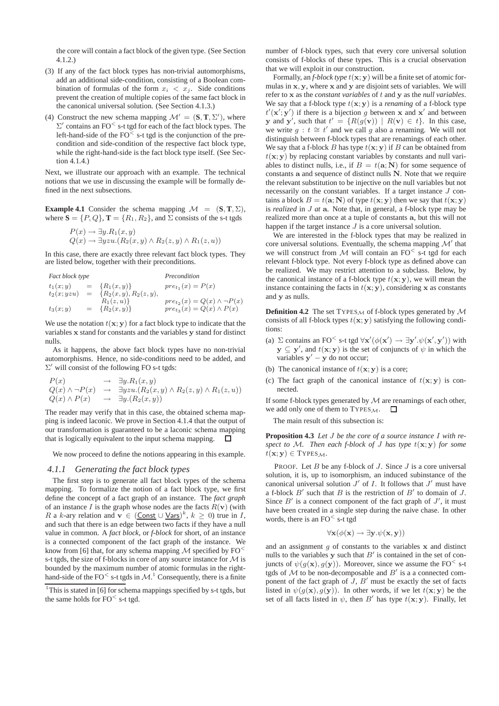the core will contain a fact block of the given type. (See Section 4.1.2.)

- (3) If any of the fact block types has non-trivial automorphisms, add an additional side-condition, consisting of a Boolean combination of formulas of the form  $x_i < x_j$ . Side conditions prevent the creation of multiple copies of the same fact block in the canonical universal solution. (See Section 4.1.3.)
- (4) Construct the new schema mapping  $\mathcal{M}' = (\mathbf{S}, \mathbf{T}, \Sigma')$ , where  $\Sigma'$  contains an FO<sup> $\leq$ </sup> s-t tgd for each of the fact block types. The left-hand-side of the  $FO<sub>5</sub>$  s-t tgd is the conjunction of the precondition and side-condition of the respective fact block type, while the right-hand-side is the fact block type itself. (See Section 4.1.4.)

Next, we illustrate our approach with an example. The technical notions that we use in discussing the example will be formally defined in the next subsections.

**Example 4.1** Consider the schema mapping  $\mathcal{M} = (\mathbf{S}, \mathbf{T}, \Sigma)$ , where  $S = \{P, Q\}$ ,  $T = \{R_1, R_2\}$ , and  $\Sigma$  consists of the s-t tgds

$$
P(x) \to \exists y. R_1(x, y)
$$
  
 
$$
Q(x) \to \exists yzu.(R_2(x, y) \land R_2(z, y) \land R_1(z, u))
$$

In this case, there are exactly three relevant fact block types. They are listed below, together with their preconditions.

$$
\begin{array}{lcl} \textit{Fact block type} & & \textit{Precondition} \\ t_1(x;y) & = & \{R_1(x,y)\} & & \textit{pre}_{t_1}(x) = P(x) \\ t_2(x; yzu) & = & \{R_2(x,y), R_2(z,y), \\ & & R_1(z,u)\} & & \textit{pre}_{t_2}(x) = Q(x) \land \neg P(x) \\ t_3(x;y) & = & \{R_2(x,y)\} & & \textit{pre}_{t_3}(x) = Q(x) \land P(x) \end{array}
$$

We use the notation  $t(x; y)$  for a fact block type to indicate that the variables x stand for constants and the variables y stand for distinct nulls.

As it happens, the above fact block types have no non-trivial automorphisms. Hence, no side-conditions need to be added, and  $\Sigma'$  will consist of the following FO s-t tgds:

$$
P(x) \rightarrow \exists y.R_1(x,y)
$$
  
\n
$$
Q(x) \land \neg P(x) \rightarrow \exists yzu.(R_2(x,y) \land R_2(z,y) \land R_1(z,u))
$$
  
\n
$$
Q(x) \land P(x) \rightarrow \exists y.(R_2(x,y))
$$

The reader may verify that in this case, the obtained schema mapping is indeed laconic. We prove in Section 4.1.4 that the output of our transformation is guaranteed to be a laconic schema mapping that is logically equivalent to the input schema mapping. □

We now proceed to define the notions appearing in this example.

#### *4.1.1 Generating the fact block types*

The first step is to generate all fact block types of the schema mapping. To formalize the notion of a fact block type, we first define the concept of a fact graph of an instance. The *fact graph* of an instance I is the graph whose nodes are the facts  $R(\mathbf{v})$  (with R a k-ary relation and  $\mathbf{v} \in (\underline{\text{Const}} \cup \underline{\text{Vars}})^k$ ,  $k \geq 0$ ) true in I, and such that there is an edge between two facts if they have a null value in common. A *fact block*, or *f-block* for short, of an instance is a connected component of the fact graph of the instance. We know from [6] that, for any schema mapping  $\mathcal M$  specified by FO<sup><</sup> s-t tgds, the size of f-blocks in core of any source instance for  $M$  is bounded by the maximum number of atomic formulas in the righthand-side of the FO<sup><</sup> s-t tgds in  $\mathcal{M}$ .<sup>1</sup> Consequently, there is a finite

number of f-block types, such that every core universal solution consists of f-blocks of these types. This is a crucial observation that we will exploit in our construction.

Formally, an *f-block type*  $t(x; y)$  will be a finite set of atomic formulas in x, y, where x and y are disjoint sets of variables. We will refer to x as the *constant variables* of t and y as the *null variables*. We say that a f-block type  $t(x; y)$  is a *renaming* of a f-block type  $t'(\mathbf{x}'; \mathbf{y}')$  if there is a bijection g between x and x' and between y and y', such that  $t' = \{ R(g(v)) \mid R(v) \in t \}.$  In this case, we write  $g : t \cong t'$  and we call g also a renaming. We will not distinguish between f-block types that are renamings of each other. We say that a f-block B has type  $t(x; y)$  if B can be obtained from  $t(\mathbf{x}; \mathbf{y})$  by replacing constant variables by constants and null variables to distinct nulls, i.e., if  $B = t(\mathbf{a}; \mathbf{N})$  for some sequence of constants a and sequence of distinct nulls N. Note that we require the relevant substitution to be injective on the null variables but not necessarily on the constant variables. If a target instance J contains a block  $B = t(\mathbf{a}; \mathbf{N})$  of type  $t(\mathbf{x}; \mathbf{y})$  then we say that  $t(\mathbf{x}; \mathbf{y})$ is *realized* in J *at* a. Note that, in general, a f-block type may be realized more than once at a tuple of constants a, but this will not happen if the target instance  $J$  is a core universal solution.

We are interested in the f-block types that may be realized in core universal solutions. Eventually, the schema mapping  $\mathcal{M}'$  that we will construct from  $M$  will contain an FO<sup><</sup> s-t tgd for each relevant f-block type. Not every f-block type as defined above can be realized. We may restrict attention to a subclass. Below, by the canonical instance of a f-block type  $t(\mathbf{x}; \mathbf{y})$ , we will mean the instance containing the facts in  $t(\mathbf{x}; \mathbf{y})$ , considering x as constants and y as nulls.

**Definition 4.2** The set TYPES  $_M$  of f-block types generated by  $M$ consists of all f-block types  $t(x; y)$  satisfying the following conditions:

- (a)  $\Sigma$  contains an FO<sup><</sup> s-t tgd  $\forall$ **x'**( $\phi$ (**x'**)  $\rightarrow \exists$ **y'**. $\psi$ (**x'**,**y'**)) with  $y \subseteq y'$ , and  $t(x; y)$  is the set of conjuncts of  $\psi$  in which the variables  $y' - y$  do not occur;
- (b) The canonical instance of  $t(\mathbf{x}; \mathbf{y})$  is a core;
- (c) The fact graph of the canonical instance of  $t(\mathbf{x}; \mathbf{y})$  is connected.

If some f-block types generated by  $M$  are renamings of each other, we add only one of them to TYPES  $_M$ .  $\Box$ 

The main result of this subsection is:

**Proposition 4.3** *Let* J *be the core of a source instance* I *with re*spect to M. Then each f-block of  $J$  has type  $t(x; y)$  for some  $t(\mathbf{x}; \mathbf{y}) \in \text{Types}_{\mathcal{M}}$ .

PROOF. Let  $B$  be any f-block of  $J$ . Since  $J$  is a core universal solution, it is, up to isomorphism, an induced subinstance of the canonical universal solution  $J'$  of I. It follows that  $J'$  must have a f-block  $B'$  such that  $B$  is the restriction of  $B'$  to domain of  $J$ . Since  $B'$  is a connect component of the fact graph of  $J'$ , it must have been created in a single step during the naive chase. In other words, there is an  $FO<sub>st</sub>$  tgd

$$
\forall \mathbf{x} (\phi(\mathbf{x}) \rightarrow \exists \mathbf{y} . \psi(\mathbf{x}, \mathbf{y}))
$$

and an assignment  $g$  of constants to the variables  $x$  and distinct nulls to the variables  $y$  such that  $B'$  is contained in the set of conjuncts of  $\psi(g(\mathbf{x}),g(\mathbf{y}))$ . Moreover, since we assume the FO<sup><</sup> s-t tgds of  $M$  to be non-decomposable and  $B'$  is a a connected component of the fact graph of  $J$ ,  $B'$  must be exactly the set of facts listed in  $\psi(g(\mathbf{x}),g(\mathbf{y}))$ . In other words, if we let  $t(\mathbf{x}; \mathbf{y})$  be the set of all facts listed in  $\psi$ , then B' has type  $t(\mathbf{x}; \mathbf{y})$ . Finally, let

<sup>&</sup>lt;sup>1</sup>This is stated in [6] for schema mappings specified by s-t tgds, but the same holds for  $FO<sub>st</sub>$  tgd.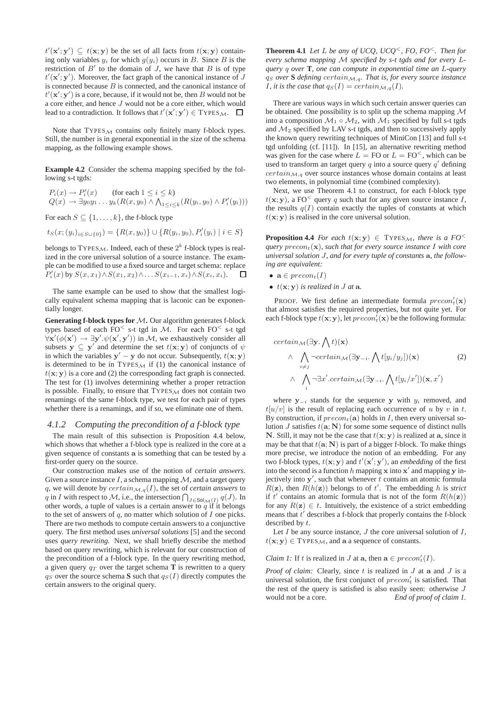$t'(\mathbf{x}'; \mathbf{y}') \subseteq t(\mathbf{x}; \mathbf{y})$  be the set of all facts from  $t(\mathbf{x}; \mathbf{y})$  containing only variables  $y_i$  for which  $g(y_i)$  occurs in B. Since B is the restriction of  $B'$  to the domain of  $J$ , we have that  $B$  is of type  $t'(\mathbf{x}'; \mathbf{y}')$ . Moreover, the fact graph of the canonical instance of J is connected because  $B$  is connected, and the canonical instance of  $t'(\mathbf{x}'; \mathbf{y}')$  is a core, because, if it would not be, then B would not be a core either, and hence J would not be a core either, which would lead to a contradiction. It follows that  $t'(\mathbf{x}'; \mathbf{y}') \in \text{Types}_\mathcal{M}$ .

Note that  $TYPES_M$  contains only finitely many f-block types. Still, the number is in general exponential in the size of the schema mapping, as the following example shows.

**Example 4.2** Consider the schema mapping specified by the following s-t tgds:

 $P_i(x) \to P'_i(x)$  (for each  $1 \le i \le k$ )  $Q(x) \to \exists y_0 y_1 ... y_k (R(x, y_0) \land \bigwedge_{1 \leq i \leq k} (R(y_i, y_0) \land P'_i(y_i)))$ 

For each  $S \subseteq \{1, \ldots, k\}$ , the f-block type

 $t_S(x; (y_i)_{i \in S \cup \{0\}}) = \{R(x, y_0)\} \cup \{R(y_i, y_0), P'_i(y_i) \mid i \in S\}$ 

belongs to TYPES $_{\mathcal{M}}$ . Indeed, each of these  $2^k$  f-block types is realized in the core universal solution of a source instance. The example can be modified to use a fixed source and target schema: replace  $P'_i(x)$  by  $S(x,x_1) \wedge S(x_1,x_2) \wedge \ldots S(x_{i-1},x_i) \wedge S(x_i,x_i)$ .  $\Box$ 

The same example can be used to show that the smallest logically equivalent schema mapping that is laconic can be exponentially longer.

**Generating f-block types for** M**.** Our algorithm generates f-block types based of each  $FO<sub>5-t</sub>$  tgd in M. For each  $FO<sub>5-t</sub>$  tgd  $\forall$ **x'**( $\phi$ (**x'**)  $\rightarrow \exists$ **y'**. $\psi$ (**x'**,**y'**)) in M, we exhaustively consider all subsets  $y \subseteq y'$  and determine the set  $t(x; y)$  of conjuncts of  $\psi$ in which the variables  $y' - y$  do not occur. Subsequently,  $t(x, y)$ is determined to be in  $TYPES_M$  if (1) the canonical instance of  $t(x; y)$  is a core and (2) the corresponding fact graph is connected. The test for (1) involves determining whether a proper retraction is possible. Finally, to ensure that  $TYPES_{\mathcal{M}}$  does not contain two renamings of the same f-block type, we test for each pair of types whether there is a renamings, and if so, we eliminate one of them.

## *4.1.2 Computing the precondition of a f-block type*

The main result of this subsection is Proposition 4.4 below, which shows that whether a f-block type is realized in the core at a given sequence of constants a is something that can be tested by a first-order query on the source.

Our construction makes use of the notion of *certain answers*. Given a source instance  $I$ , a schema mapping  $M$ , and a target query q, we will denote by  $certain_{\mathcal{M},q}(I)$ , the set of *certain answers* to q in I with respect to M, i.e., the intersection  $\bigcap_{J \in Sol_{\mathcal{M}}(I)} q(J)$ . In other words, a tuple of values is a certain answer to  $q$  if it belongs to the set of answers of  $q$ , no matter which solution of  $I$  one picks. There are two methods to compute certain answers to a conjunctive query. The first method uses *universal solutions* [5] and the second uses *query rewriting*. Next, we shall briefly describe the method based on query rewriting, which is relevant for our construction of the precondition of a f-block type. In the query rewriting method, a given query  $q_T$  over the target schema **T** is rewritten to a query  $q_S$  over the source schema **S** such that  $q_S(I)$  directly computes the certain answers to the original query.

**Theorem 4.1** *Let*  $L$  *be any of UCQ, UCQ<sup><</sup>, FO, FO<sup><</sup>. Then for every schema mapping* M *specified by s-t tgds and for every* L*query* q *over* **T***, one can compute in exponential time an* L*-query*  $q_S$  *over* **S** *defining* certain<sub>M,q</sub>. That is, for every source instance *I*, it is the case that  $q_S(I) = certain_{\mathcal{M},q}(I)$ .

There are various ways in which such certain answer queries can be obtained. One possibility is to split up the schema mapping  $\mathcal M$ into a composition  $\mathcal{M}_1 \circ \mathcal{M}_2$ , with  $\mathcal{M}_1$  specified by full s-t tgds and  $\mathcal{M}_2$  specified by LAV s-t tgds, and then to successively apply the known query rewriting techniques of MiniCon [13] and full s-t tgd unfolding (cf. [11]). In [15], an alternative rewriting method was given for the case where  $L = FO$  or  $L = FO^<$ , which can be used to transform an target query  $q$  into a source query  $q'$  defining  $certain_{\mathcal{M},q}$  over source instances whose domain contains at least two elements, in polynomial time (combined complexity).

Next, we use Theorem 4.1 to construct, for each f-block type  $t(\mathbf{x}; \mathbf{y})$ , a FO<sup><</sup> query q such that for any given source instance I, the results  $q(I)$  contain exactly the tuples of constants at which  $t(\mathbf{x}; \mathbf{y})$  is realised in the core universal solution.

**Proposition 4.4** *For each*  $t(x; y) \in \text{Types}_M$ , there is a  $FO^<$ *query*  $precon<sub>t</sub>(**x**)$ *, such that for every source instance* I with core *universal solution* J*, and for every tuple of constants* a*, the following are equivalent:*

- $\mathbf{a} \in \mathit{precon}_t(I)$
- $t(\mathbf{x}; \mathbf{y})$  *is realized in J at* **a**.

PROOF. We first define an intermediate formula  $precon'_{t}(\mathbf{x})$ that almost satisfies the required properties, but not quite yet. For each f-block type  $t(\mathbf{x}; \mathbf{y})$ , let  $precon'_{t}(\mathbf{x})$  be the following formula:

$$
certain_{\mathcal{M}}(\exists \mathbf{y}. \bigwedge t)(\mathbf{x})
$$
  
 
$$
\wedge \bigwedge_{i \neq j} \neg certain_{\mathcal{M}}(\exists \mathbf{y}_{-i}. \bigwedge t[y_i/y_j])(\mathbf{x})
$$
 (2)  
 
$$
\wedge \bigwedge_{i} \neg \exists x'.certain_{\mathcal{M}}(\exists \mathbf{y}_{-i}. \bigwedge t[y_i/x'])(\mathbf{x}, x')
$$

where  $y_{-i}$  stands for the sequence y with  $y_i$  removed, and  $t[u/v]$  is the result of replacing each occurrence of u by v in t. By construction, if  $precon<sub>t</sub>(a)$  holds in I, then every universal solution  $J$  satisfies  $t(\mathbf{a}; \mathbf{N})$  for some some sequence of distinct nulls N. Still, it may not be the case that  $t(x; y)$  is realized at a, since it may be that that  $t(\mathbf{a}; \mathbf{N})$  is part of a bigger f-block. To make things more precise, we introduce the notion of an embedding. For any two f-block types,  $t(\mathbf{x}; \mathbf{y})$  and  $t'(\mathbf{x}'; \mathbf{y}')$ , an *embedding* of the first into the second is a function h mapping  $x$  into  $x'$  and mapping  $y$  injectively into  $y'$ , such that whenever  $t$  contains an atomic formula  $R(z)$ , then  $R(h(z))$  belongs to of t'. The embedding h is *strict* if t' contains an atomic formula that is not of the form  $R(h(\mathbf{z}))$ for any  $R(z) \in t$ . Intuitively, the existence of a strict embedding means that  $t'$  describes a f-block that properly contains the f-block described by t.

Let  $I$  be any source instance,  $J$  the core universal solution of  $I$ ,  $t(\mathbf{x}; \mathbf{y}) \in \text{Types}_{\mathcal{M}}$ , and a a sequence of constants.

# *Claim 1:* If t is realized in J at  $a$ , then  $a \in \text{precon}'_t(I)$ .

*Proof of claim:* Clearly, since t is realized in J at a and J is a universal solution, the first conjunct of  $precon'_{t}$  is satisfied. That the rest of the query is satisfied is also easily seen: otherwise  $J$ would not be a core. *End of proof of claim 1.*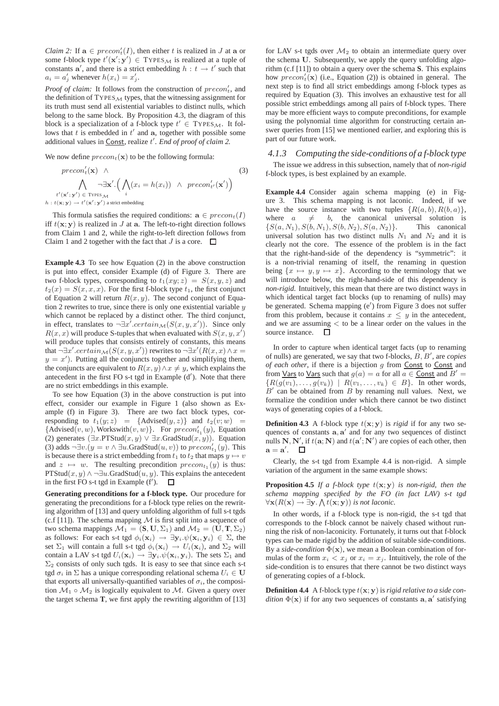*Claim 2:* If  $\mathbf{a} \in \text{precon'}_t(I)$ , then either t is realized in J at  $\mathbf{a}$  or some f-block type  $t'(\mathbf{x}'; \mathbf{y}') \in \text{Types}_{\mathcal{M}}$  is realized at a tuple of constants  $a'$ , and there is a strict embedding  $h : t \rightarrow t'$  such that  $a_i = a'_j$  whenever  $h(x_i) = x'_j$ .

*Proof of claim:* It follows from the construction of  $precon'_{t}$ , and the definition of  $TYPES_M$  types, that the witnessing assignment for its truth must send all existential variables to distinct nulls, which belong to the same block. By Proposition 4.3, the diagram of this block is a specialization of a f-block type  $t' \in \text{Types}_\mathcal{M}$ . It follows that  $t$  is embedded in  $t'$  and  $a$ , together with possible some additional values in Const, realize t ′ . *End of proof of claim 2.*

We now define  $precon<sub>t</sub>(\mathbf{x})$  to be the following formula:

$$
precon'_{t}(\mathbf{x}) \wedge \qquad (3)
$$
\n
$$
\bigwedge_{t'(\mathbf{x}';\mathbf{y}') \in \text{Types}_{\mathcal{M}}} \neg \exists \mathbf{x}'. \Big( \bigwedge_{i} (x_i = h(x_i)) \wedge \text{precon}'_{t'}(\mathbf{x}') \Big)
$$
\n
$$
h: t(\mathbf{x}; \mathbf{y}) \to t'(\mathbf{x}'; \mathbf{y}') \text{ a strict embedding}
$$

This formula satisfies the required conditions:  $\mathbf{a} \in \text{precon}_t(I)$ iff  $t(x; y)$  is realized in J at a. The left-to-right direction follows from Claim 1 and 2, while the right-to-left direction follows from Claim 1 and 2 together with the fact that  $J$  is a core.  $\Box$ 

**Example 4.3** To see how Equation (2) in the above construction is put into effect, consider Example (d) of Figure 3. There are two f-block types, corresponding to  $t_1(xy; z) = S(x, y, z)$  and  $t_2(x) = S(x, x, x)$ . For the first f-block type  $t_1$ , the first conjunct of Equation 2 will return  $R(x, y)$ . The second conjunct of Equation 2 rewrites to true, since there is only one existential variable  $y$ which cannot be replaced by a distinct other. The third conjunct, in effect, translates to  $\neg \exists x'.certain_\mathcal{M}(S(x,y,x'))$ . Since only  $R(x, x)$  will produce S-tuples that when evaluated with  $S(x, y, x')$ will produce tuples that consists entirely of constants, this means that  $\neg \exists x'.certain_\mathcal{M}(S(x,y,x'))$  rewrites to  $\neg \exists x'(R(x,x) \land x =$  $y = x'$ ). Putting all the conjuncts together and simplifying them, the conjuncts are equivalent to  $R(x, y) \wedge x \neq y$ , which explains the antecedent in the first FO s-t tgd in Example (d′ ). Note that there are no strict embeddings in this example.

To see how Equation (3) in the above construction is put into effect, consider our example in Figure 1 (also shown as Example (f) in Figure 3). There are two fact block types, corresponding to  $t_1(y; z) = {\text{Advised}(y, z)}$  and  $t_2(v; w) =$ {Advised(v, w), Workswith(v, w)}. For  $precon'_{t_1}(y)$ , Equation (2) generates  $(\exists x.PTStud(x,y) \lor \exists x.GradStud(x,y))$ . Equation (3) adds  $\neg \exists v.(y = v \land \exists u \text{.GradStud}(u, v))$  to  $\text{precon}'_{t_1}(y)$ . This is because there is a strict embedding from  $t_1$  to  $t_2$  that maps  $y \mapsto v$ and  $z \mapsto w$ . The resulting precondition  $precon_{t_1}(y)$  is thus: PTStud $(x, y) \wedge \neg \exists u$ .GradStud $(u, y)$ . This explains the antecedent in the first FO s-t tgd in Example (f′ ).  $\Box$ 

**Generating preconditions for a f-block type.** Our procedure for generating the preconditions for a f-block type relies on the rewriting algorithm of [13] and query unfolding algorithm of full s-t tgds (c.f [11]). The schema mapping  $M$  is first split into a sequence of two schema mappings  $\mathcal{M}_1 = (\mathbf{S}, \mathbf{U}, \Sigma_1)$  and  $\mathcal{M}_2 = (\mathbf{U}, \mathbf{T}, \Sigma_2)$ as follows: For each s-t tgd  $\phi_i(\mathbf{x}_i) \rightarrow \exists \mathbf{y}_i \cdot \psi(\mathbf{x}_i, \mathbf{y}_i) \in \Sigma$ , the set  $\Sigma_1$  will contain a full s-t tgd  $\phi_i(\mathbf{x}_i) \rightarrow U_i(\mathbf{x}_i)$ , and  $\Sigma_2$  will contain a LAV s-t tgd  $U_i(\mathbf{x}_i) \to \exists \mathbf{y}_i \psi(\mathbf{x}_i, \mathbf{y}_i)$ . The sets  $\Sigma_1$  and  $\Sigma_2$  consists of only such tgds. It is easy to see that since each s-t tgd  $\sigma_i$  in  $\Sigma$  has a unique corresponding relational schema  $U_i \in U$ that exports all universally-quantified variables of  $\sigma_i$ , the composition  $M_1 \circ M_2$  is logically equivalent to M. Given a query over the target schema **T**, we first apply the rewriting algorithm of [13]

for LAV s-t tgds over  $\mathcal{M}_2$  to obtain an intermediate query over the schema U. Subsequently, we apply the query unfolding algorithm (c.f [11]) to obtain a query over the schema **S**. This explains how  $precon'_{t}(\mathbf{x})$  (i.e., Equation (2)) is obtained in general. The next step is to find all strict embeddings among f-block types as required by Equation (3). This involves an exhaustive test for all possible strict embeddings among all pairs of f-block types. There may be more efficient ways to compute preconditions, for example using the polynomial time algorithm for constructing certain answer queries from [15] we mentioned earlier, and exploring this is part of our future work.

## *4.1.3 Computing the side-conditions of a f-block type*

The issue we address in this subsection, namely that of *non-rigid* f-block types, is best explained by an example.

**Example 4.4** Consider again schema mapping (e) in Figure 3. This schema mapping is not laconic. Indeed, if we have the source instance with two tuples  $\{R(a, b), R(b, a)\},\$ where  $a \neq b$ , the canonical universal solution is  $\{S(a, N_1), S(b, N_1), S(b, N_2), S(a, N_2)\}.$  This canonical  $\{S(a, N_1), S(b, N_1), S(b, N_2), S(a, N_2)\}.$ universal solution has two distinct nulls  $N_1$  and  $N_2$  and it is clearly not the core. The essence of the problem is in the fact that the right-hand-side of the dependency is "symmetric": it is a non-trivial renaming of itself, the renaming in question being  $\{x \mapsto y, y \mapsto x\}$ . According to the terminology that we will introduce below, the right-hand-side of this dependency is *non-rigid*. Intuitively, this mean that there are two distinct ways in which identical target fact blocks (up to renaming of nulls) may be generated. Schema mapping (e′ ) from Figure 3 does not suffer from this problem, because it contains  $x \leq y$  in the antecedent, and we are assuming < to be a linear order on the values in the source instance.  $\square$ 

In order to capture when identical target facts (up to renaming of nulls) are generated, we say that two f-blocks, B, B′ , are *copies of each other*, if there is a bijection g from Const to Const and from <u>Vars</u> to <u>Vars</u> such that  $g(a) = a$  for all  $a \in$  Const and  $B' =$  ${R(g(v_1), \ldots, g(v_k)) \mid R(v_1, \ldots, v_k) \in B}$ . In other words,  $B'$  can be obtained from  $B$  by renaming null values. Next, we formalize the condition under which there cannot be two distinct ways of generating copies of a f-block.

**Definition 4.3** A f-block type  $t(x; y)$  is *rigid* if for any two sequences of constants  $a, a'$  and for any two sequences of distinct nulls N, N', if  $t(\mathbf{a}; \mathbf{N})$  and  $t(\mathbf{a}'; \mathbf{N}')$  are copies of each other, then  $\mathbf{a} = \mathbf{a}'$ .

Clearly, the s-t tgd from Example 4.4 is non-rigid. A simple variation of the argument in the same example shows:

**Proposition 4.5** *If a f-block type*  $t(x; y)$  *is non-rigid, then the schema mapping specified by the FO (in fact LAV) s-t tgd*  $\forall$ **x**( $R$ (**x**)  $\rightarrow \exists$ **y**.  $\bigwedge t$ (**x**; **y**)) *is not laconic.* 

In other words, if a f-block type is non-rigid, the s-t tgd that corresponds to the f-block cannot be naively chased without running the risk of non-laconicity. Fortunately, it turns out that f-block types can be made rigid by the addition of suitable side-conditions. By a *side-condition*  $\Phi(\mathbf{x})$ , we mean a Boolean combination of formulas of the form  $x_i < x_j$  or  $x_i = x_j$ . Intuitively, the role of the side-condition is to ensures that there cannot be two distinct ways of generating copies of a f-block.

**Definition 4.4** A f-block type  $t(x; y)$  is *rigid relative to a side con* $dition \Phi(\mathbf{x})$  if for any two sequences of constants  $\mathbf{a}, \mathbf{a}'$  satisfying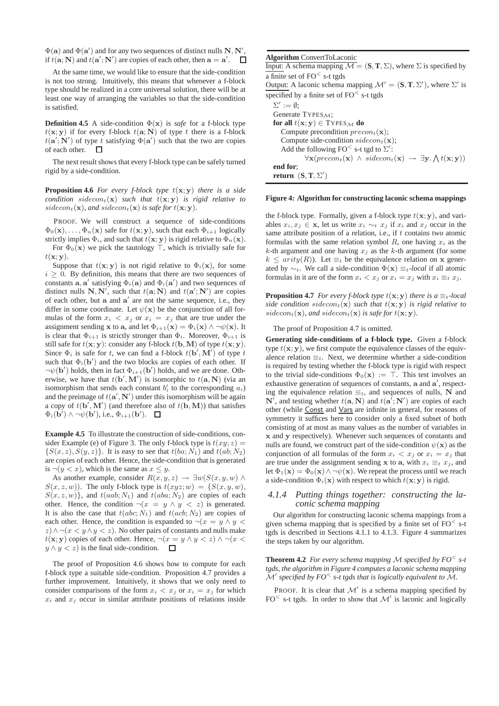$\Phi(\mathbf{a})$  and  $\Phi(\mathbf{a}')$  and for any two sequences of distinct nulls  $\mathbf{N}, \mathbf{N}',$ if  $t(\mathbf{a}; \mathbf{N})$  and  $t(\mathbf{a}'; \mathbf{N}')$  are copies of each other, then  $\mathbf{a} = \mathbf{a}'$ .

At the same time, we would like to ensure that the side-condition is not too strong. Intuitively, this means that whenever a f-block type should be realized in a core universal solution, there will be at least one way of arranging the variables so that the side-condition is satisfied.

**Definition 4.5** A side-condition  $\Phi(\mathbf{x})$  is *safe* for a f-block type  $t(\mathbf{x}; \mathbf{y})$  if for every f-block  $t(\mathbf{a}; \mathbf{N})$  of type t there is a f-block  $t(\mathbf{a}'; \mathbf{N}')$  of type t satisfying  $\Phi(\mathbf{a}')$  such that the two are copies of each other. П

The next result shows that every f-block type can be safely turned rigid by a side-condition.

**Proposition 4.6** *For every f-block type*  $t(x; y)$  *there is a side condition* sidecon<sub>t</sub>( $\mathbf{x}$ ) such that  $t(\mathbf{x}; \mathbf{y})$  is rigid relative to sidecon<sub>t</sub>(**x**), and sidecon<sub>t</sub>(**x**) is safe for  $t(x; y)$ .

PROOF. We will construct a sequence of side-conditions  $\Phi_0(\mathbf{x}), \ldots, \Phi_n(\mathbf{x})$  safe for  $t(\mathbf{x}; \mathbf{y})$ , such that each  $\Phi_{i+1}$  logically strictly implies  $\Phi_i$ , and such that  $t(\mathbf{x}; \mathbf{y})$  is rigid relative to  $\Phi_n(\mathbf{x})$ .

For  $\Phi_0(\mathbf{x})$  we pick the tautology ⊤, which is trivially safe for  $t(\mathbf{x}; \mathbf{v})$ .

Suppose that  $t(\mathbf{x}; \mathbf{y})$  is not rigid relative to  $\Phi_i(\mathbf{x})$ , for some  $i \geq 0$ . By definition, this means that there are two sequences of constants  $\mathbf{a}, \mathbf{a}'$  satisfying  $\Phi_i(\mathbf{a})$  and  $\Phi_i(\mathbf{a}')$  and two sequences of distinct nulls N, N', such that  $t(\mathbf{a}; \mathbf{N})$  and  $t(\mathbf{a}'; \mathbf{N}')$  are copies of each other, but a and a' are not the same sequence, i.e., they differ in some coordinate. Let  $\psi(\mathbf{x})$  be the conjunction of all formulas of the form  $x_i < x_j$  or  $x_i = x_j$  that are true under the assignment sending x to a, and let  $\Phi_{i+1}(\mathbf{x}) = \Phi_i(\mathbf{x}) \wedge \neg \psi(\mathbf{x})$ . It is clear that  $\Phi_{i+1}$  is strictly stronger than  $\Phi_i$ . Moreover,  $\Phi_{i+1}$  is still safe for  $t(\mathbf{x}; \mathbf{y})$ : consider any f-block  $t(\mathbf{b}, \mathbf{M})$  of type  $t(\mathbf{x}; \mathbf{y})$ . Since  $\Phi_i$  is safe for t, we can find a f-block  $t(\mathbf{b}', \mathbf{M}')$  of type t such that  $\Phi_i(\mathbf{b}')$  and the two blocks are copies of each other. If  $\neg\psi(\mathbf{b}')$  holds, then in fact  $\Phi_{i+1}(\mathbf{b}')$  holds, and we are done. Otherwise, we have that  $t(\mathbf{b}', \mathbf{M}')$  is isomorphic to  $t(\mathbf{a}, \mathbf{N})$  (via an isomorphism that sends each constant  $b_i$  to the corresponding  $a_i$ ) and the preimage of  $t(\mathbf{a}', \mathbf{N}')$  under this isomorphism will be again a copy of  $t(\mathbf{b}', \mathbf{M}')$  (and therefore also of  $t(\mathbf{b}, \mathbf{M})$ ) that satisfies  $\Phi_i(\mathbf{b}') \wedge \neg \psi(\mathbf{b}'),$  i.e.,  $\Phi_{i+1}(\mathbf{b}').$ 

**Example 4.5** To illustrate the construction of side-conditions, consider Example (e) of Figure 3. The only f-block type is  $t(xy; z) =$  $\{S(x, z), S(y, z)\}\$ . It is easy to see that  $t(ba; N_1)$  and  $t(ab; N_2)$ are copies of each other. Hence, the side-condition that is generated is  $\neg(y < x)$ , which is the same as  $x \leq y$ .

As another example, consider  $R(x, y, z) \rightarrow \exists w(S(x, y, w) \land$  $S(x, z, w)$ ). The only f-block type is  $t(xyz; w) = \{S(x, y, w),$  $S(x, z, w)$ , and  $t(aab; N_1)$  and  $t(aba; N_2)$  are copies of each other. Hence, the condition  $\neg(x = y \land y < z)$  is generated. It is also the case that  $t(abc; N_1)$  and  $t(acb; N_2)$  are copies of each other. Hence, the condition is expanded to  $\neg(x = y \land y$  $z) \wedge \neg(x \leq y \wedge y \leq z)$ . No other pairs of constants and nulls make  $t(x; y)$  copies of each other. Hence,  $\neg(x = y \land y < z) \land \neg(x < z)$  $y \wedge y \leq z$  is the final side-condition.  $\Box$ 

The proof of Proposition 4.6 shows how to compute for each f-block type a suitable side-condition. Proposition 4.7 provides a further improvement. Intuitively, it shows that we only need to consider comparisons of the form  $x_i < x_j$  or  $x_i = x_j$  for which  $x_i$  and  $x_j$  occur in similar attribute positions of relations inside

# **Algorithm** ConvertToLaconic

Input: A schema mapping  $\overline{\mathcal{M}} = (\mathbf{S}, \mathbf{T}, \Sigma)$ , where  $\Sigma$  is specified by a finite set of  $FO<sub>5-t</sub>$  tgds Output: A laconic schema mapping  $\mathcal{M}' = (\mathbf{S}, \mathbf{T}, \Sigma')$ , where  $\Sigma'$  is specified by a finite set of  $FO<sub>5-t</sub>$  tgds  $\Sigma' := \emptyset;$ Generate TYPES<sub>M</sub>; **for all**  $t(\mathbf{x}; \mathbf{y}) \in \text{Types}_{\mathcal{M}}$  **do** Compute precondition  $precon<sub>t</sub>(**x**)$ ; Compute side-condition  $sidecon_t(\mathbf{x});$ Add the following FO<sup><</sup> s-t tgd to  $\Sigma'$ :  $\forall \mathbf{x} (precon_t(\mathbf{x}) \land sidecon_t(\mathbf{x}) \rightarrow \exists \mathbf{y}.\bigwedge t(\mathbf{x}; \mathbf{y}))$ **end for**; **return**  $(S, T, \Sigma')$ 

#### **Figure 4: Algorithm for constructing laconic schema mappings**

the f-block type. Formally, given a f-block type  $t(\mathbf{x}; \mathbf{y})$ , and variables  $x_i, x_j$  ∈ x, let us write  $x_i \sim_t x_j$  if  $x_i$  and  $x_j$  occur in the same attribute position of a relation, i.e., if  $t$  contains two atomic formulas with the same relation symbol  $R$ , one having  $x_i$  as the  $k$ -th argument and one having  $x_j$  as the  $k$ -th argument (for some  $k \leq$  arity(R)). Let  $\equiv_t$  be the equivalence relation on x generated by  $\sim_t$ . We call a side-condition  $\Phi(\mathbf{x}) \equiv_t \text{-}local$  if all atomic formulas in it are of the form  $x_i < x_j$  or  $x_i = x_j$  with  $x_i \equiv_t x_j$ .

**Proposition 4.7** *For every f-block type*  $t(\mathbf{x}; \mathbf{y})$  *there is a*  $\equiv_t$ -*local side condition sidecon*<sub>t</sub>(**x**) *such that*  $t(x; y)$  *is rigid relative to* sidecon<sub>t</sub>(**x**), and sidecon<sub>t</sub>(**x**) is safe for  $t(x; y)$ .

The proof of Proposition 4.7 is omitted.

**Generating side-conditions of a f-block type.** Given a f-block type  $t(\mathbf{x}; \mathbf{y})$ , we first compute the equivalence classes of the equivalence relation  $\equiv_t$ . Next, we determine whether a side-condition is required by testing whether the f-block type is rigid with respect to the trivial side-conditions  $\Phi_0(\mathbf{x}) := \top$ . This test involves an exhaustive generation of sequences of constants, a and a', respecting the equivalence relation  $\equiv_t$ , and sequences of nulls, N and  $\mathbf{N}'$ , and testing whether  $t(\mathbf{a}, \mathbf{N})$  and  $t(\mathbf{a}', \mathbf{N}')$  are copies of each other (while Const and Vars are infinite in general, for reasons of symmetry it suffices here to consider only a fixed subset of both consisting of at most as many values as the number of variables in x and y respectively). Whenever such sequences of constants and nulls are found, we construct part of the side-condition  $\psi(\mathbf{x})$  as the conjunction of all formulas of the form  $x_i < x_j$  or  $x_i = x_j$  that are true under the assignment sending x to a, with  $x_i \equiv_t x_j$ , and let  $\Phi_1(\mathbf{x}) = \Phi_0(\mathbf{x}) \wedge \neg \psi(\mathbf{x})$ . We repeat the process until we reach a side-condition  $\Phi_i(\mathbf{x})$  with respect to which  $t(\mathbf{x}; \mathbf{y})$  is rigid.

## *4.1.4 Putting things together: constructing the laconic schema mapping*

Our algorithm for constructing laconic schema mappings from a given schema mapping that is specified by a finite set of  $FO<sub>st</sub>$ tgds is described in Sections 4.1.1 to 4.1.3. Figure 4 summarizes the steps taken by our algorithm.

**Theorem 4.2** For every schema mapping M specified by  $FO^{\lt}$  s-t *tgds, the algorithm in Figure 4 computes a laconic schema mapping* M′ *specified by FO*<sup>&</sup>lt; *s-t tgds that is logically equivalent to* M*.*

PROOF. It is clear that  $\mathcal{M}'$  is a schema mapping specified by FO<sup><</sup> s-t tgds. In order to show that  $\mathcal{M}'$  is laconic and logically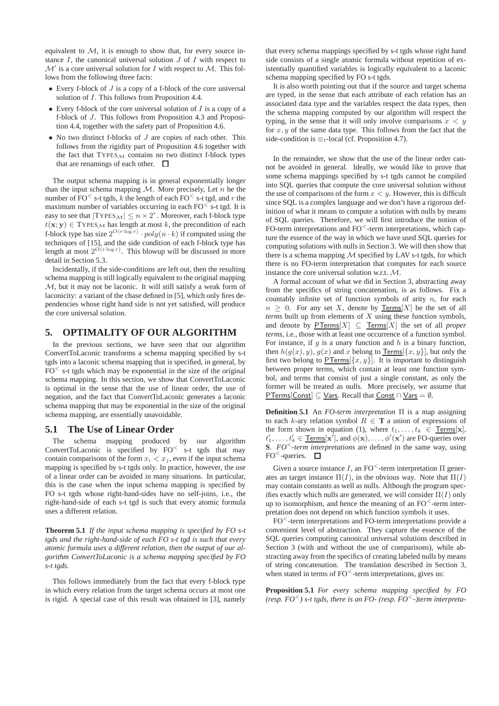equivalent to  $M$ , it is enough to show that, for every source instance  $I$ , the canonical universal solution  $J$  of  $I$  with respect to  $\mathcal{M}'$  is a core universal solution for  $I$  with respect to  $\mathcal{M}$ . This follows from the following three facts:

- Every f-block of  $J$  is a copy of a f-block of the core universal solution of I. This follows from Proposition 4.4.
- Every f-block of the core universal solution of  $I$  is a copy of a f-block of J. This follows from Proposition 4.3 and Proposition 4.4, together with the safety part of Proposition 4.6.
- No two distinct f-blocks of  $J$  are copies of each other. This follows from the rigidity part of Proposition 4.6 together with the fact that  $TYPES_M$  contains no two distinct f-block types that are renamings of each other.  $\Box$

The output schema mapping is in general exponentially longer than the input schema mapping  $M$ . More precisely, Let n be the number of FO<sup> $\leq$ </sup> s-t tgds, k the length of each FO $\leq$  s-t tgd, and r the maximum number of variables occurring in each  $FO<$  s-t tgd. It is easy to see that  $|\text{Types}_\mathcal{M}| \leq n \times 2^r$ . Moreover, each f-block type  $t(x; y) \in \text{Types}_\mathcal{M}$  has length at most k, the precondition of each f-block type has size  $2^{O(r \log r)} \cdot poly(n \cdot k)$  if computed using the techniques of [15], and the side condition of each f-block type has length at most  $2^{O(r \log r)}$ . This blowup will be discussed in more detail in Section 5.3.

Incidentally, if the side-conditions are left out, then the resulting schema mapping is still logically equivalent to the original mapping M, but it may not be laconic. It will still satisfy a weak form of laconicity: a variant of the chase defined in [5], which only fires dependencies whose right hand side is not yet satisfied, will produce the core universal solution.

# **5. OPTIMALITY OF OUR ALGORITHM**

In the previous sections, we have seen that our algorithm ConvertToLaconic transforms a schema mapping specified by s-t tgds into a laconic schema mapping that is specified, in general, by  $FO<sub>5-t</sub>$  tgds which may be exponential in the size of the original schema mapping. In this section, we show that ConvertToLaconic is optimal in the sense that the use of linear order, the use of negation, and the fact that ConvertToLaconic generates a laconic schema mapping that may be exponential in the size of the original schema mapping, are essentially unavoidable.

# **5.1 The Use of Linear Order**

The schema mapping produced by our algorithm ConvertToLaconic is specified by FO<sup>&</sup>lt; s-t tgds that may contain comparisons of the form  $x_i < x_j$ , even if the input schema mapping is specified by s-t tgds only. In practice, however, the use of a linear order can be avoided in many situations. In particular, this is the case when the input schema mapping is specified by FO s-t tgds whose right-hand-sides have no self-joins, i.e., the right-hand-side of each s-t tgd is such that every atomic formula uses a different relation.

**Theorem 5.1** *If the input schema mapping is specified by FO s-t tgds and the right-hand-side of each FO s-t tgd is such that every atomic formula uses a different relation, then the output of our algorithm ConvertToLaconic is a schema mapping specified by FO s-t tgds.*

This follows immediately from the fact that every f-block type in which every relation from the target schema occurs at most one is rigid. A special case of this result was obtained in [3], namely

that every schema mappings specified by s-t tgds whose right hand side consists of a single atomic formula without repetition of existentially quantified variables is logically equivalent to a laconic schema mapping specified by FO s-t tgds.

It is also worth pointing out that if the source and target schema are typed, in the sense that each attribute of each relation has an associated data type and the variables respect the data types, then the schema mapping computed by our algorithm will respect the typing, in the sense that it will only involve comparisons  $x < y$ for  $x, y$  of the same data type. This follows from the fact that the side-condition is  $\equiv_t$ -local (cf. Proposition 4.7).

In the remainder, we show that the use of the linear order cannot be avoided in general. Ideally, we would like to prove that some schema mappings specified by s-t tgds cannot be compiled into SQL queries that compute the core universal solution without the use of comparisons of the form  $x < y$ . However, this is difficult since SQL is a complex language and we don't have a rigorous definition of what it means to compute a solution with nulls by means of SQL queries. Therefore, we will first introduce the notion of FO-term interpretations and  $FO<$ -term interpretations, which capture the essence of the way in which we have used SQL queries for computing solutions with nulls in Section 3. We will then show that there is a schema mapping  $M$  specified by LAV s-t tgds, for which there is no FO-term interpretation that computes for each source instance the core universal solution w.r.t. M.

A formal account of what we did in Section 3, abstracting away from the specifics of string concatenation, is as follows. Fix a countably infinite set of function symbols of arity  $n$ , for each  $n > 0$ . For any set X, denote by Terms[X] be the set of all *terms* built up from elements of X using these function symbols, and denote by  $PTerms[X] \subseteq Terms[X]$  the set of all *proper terms*, i.e., those with at least one occurrence of a function symbol. For instance, if  $g$  is a unary function and  $h$  is a binary function, then  $h(g(x), y), g(x)$  and x belong to  $Terms[{x, y}]$ , but only the</u> first two belong to  $PTerms[\{x, y\}]$ . It is important to distinguish between proper terms, which contain at least one function symbol, and terms that consist of just a single constant, as only the former will be treated as nulls. More precisely, we assume that PTerms[Const]  $\subseteq$  Vars. Recall that Const  $\cap$  Vars =  $\emptyset$ .

**Definition 5.1** An *FO-term interpretation* Π is a map assigning to each k-ary relation symbol  $R \in \mathbf{T}$  a union of expressions of the form shown in equation (1), where  $t_1, \ldots, t_k \in \mathsf{Terms}[x]$ ,  $t'_1, \ldots, t'_k \in \underline{\mathsf{Terms}}[\mathbf{x}^r],$  and  $\phi(\mathbf{x}), \ldots, \phi'(\mathbf{x}^r)$  are FO-queries over **S**. *FO*<sup>&</sup>lt;*-term interpretations* are defined in the same way, using FO<sup> $\leq$ </sup>-queries.  $\Box$ 

Given a source instance I, an  $FO<sup>1</sup>$ -term interpretation  $\Pi$  generates an target instance  $\Pi(I)$ , in the obvious way. Note that  $\Pi(I)$ may contain constants as well as nulls. Although the program specifies exactly which nulls are generated, we will consider  $\Pi(I)$  only up to isomorphism, and hence the meaning of an  $FO<$ -term interpretation does not depend on which function symbols it uses.

FO<sup><</sup>-term interpretations and FO-term interpretations provide a convenient level of abstraction. They capture the essence of the SQL queries computing canonical universal solutions described in Section 3 (with and without the use of comparisons), while abstracting away from the specifics of creating labeled nulls by means of string concatenation. The translation described in Section 3, when stated in terms of  $FO<$ -term interpretations, gives us:

**Proposition 5.1** *For every schema mapping specified by FO (resp. FO*<sup>&</sup>lt;*) s-t tgds, there is an FO- (resp. FO*<sup>&</sup>lt;*-)term interpreta-*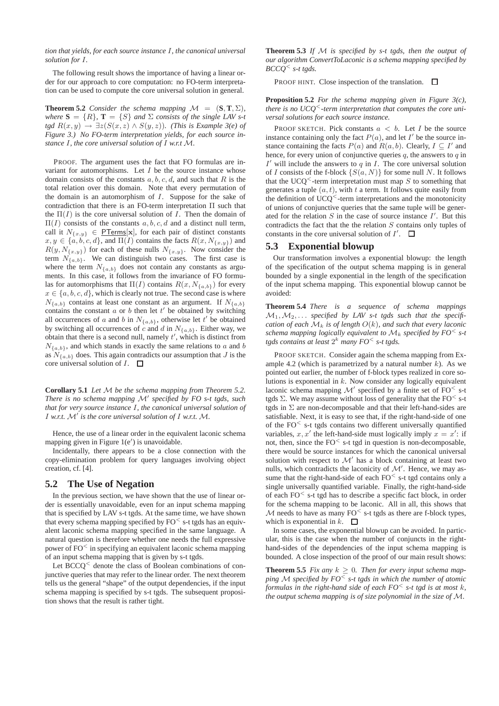*tion that yields, for each source instance* I*, the canonical universal solution for* I*.*

The following result shows the importance of having a linear order for our approach to core computation: no FO-term interpretation can be used to compute the core universal solution in general.

**Theorem 5.2** *Consider the schema mapping*  $\mathcal{M} = (\mathbf{S}, \mathbf{T}, \Sigma)$ *, where*  $S = \{R\}$ ,  $T = \{S\}$  *and*  $\Sigma$  *consists of the single LAV s-t tgd*  $R(x,y) \rightarrow \exists z (S(x,z) \land S(y,z))$ *. (This is Example 3(e) of Figure 3.) No FO-term interpretation yields, for each source instance* I*, the core universal solution of* I *w.r.t* M*.*

PROOF. The argument uses the fact that FO formulas are invariant for automorphisms. Let  $I$  be the source instance whose domain consists of the constants  $a, b, c, d$ , and such that R is the total relation over this domain. Note that every permutation of the domain is an automorphism of  $I$ . Suppose for the sake of contradiction that there is an FO-term interpretation Π such that the  $\Pi(I)$  is the core universal solution of I. Then the domain of  $\Pi(I)$  consists of the constants  $a, b, c, d$  and a distinct null term, call it  $N_{\{x,y\}} \in \underline{PTerms}[x]$ , for each pair of distinct constants  $x, y \in \{a, b, c, d\}$ , and  $\Pi(I)$  contains the facts  $R(x, N_{\{x,y\}})$  and  $R(y, N_{\{x,y\}})$  for each of these nulls  $N_{\{x,y\}}$ . Now consider the term  $N_{\{a,b\}}$ . We can distinguish two cases. The first case is where the term  $N_{\{a,b\}}$  does not contain any constants as arguments. In this case, it follows from the invariance of FO formulas for automorphisms that  $\Pi(I)$  contains  $R(x, N_{\{a,b\}})$  for every  $x \in \{a, b, c, d\}$ , which is clearly not true. The second case is where  $N_{\{a,b\}}$  contains at least one constant as an argument. If  $N_{\{a,b\}}$ contains the constant  $a$  or  $b$  then let  $t'$  be obtained by switching all occurrences of a and b in  $N_{\{a,b\}}$ , otherwise let t' be obtained by switching all occurrences of c and d in  $N_{\{a,b\}}$ . Either way, we obtain that there is a second null, namely  $t'$ , which is distinct from  $N_{\{a,b\}}$ , and which stands in exactly the same relations to a and b as  $N_{\{a,b\}}$  does. This again contradicts our assumption that J is the core universal solution of  $I$ .  $\Box$ 

**Corollary 5.1** *Let* M *be the schema mapping from Theorem 5.2. There is no schema mapping* M′ *specified by FO s-t tgds, such that for very source instance* I*, the canonical universal solution of* I *w.r.t.* M′ *is the core universal solution of* I *w.r.t.* M*.*

Hence, the use of a linear order in the equivalent laconic schema mapping given in Figure 1(e′ ) is unavoidable.

Incidentally, there appears to be a close connection with the copy-elimination problem for query languages involving object creation, cf. [4].

# **5.2 The Use of Negation**

In the previous section, we have shown that the use of linear order is essentially unavoidable, even for an input schema mapping that is specified by LAV s-t tgds. At the same time, we have shown that every schema mapping specified by  $FO<sub>5</sub>$  s-t tgds has an equivalent laconic schema mapping specified in the same language. A natural question is therefore whether one needs the full expressive power of FO<sup>&</sup>lt; in specifying an equivalent laconic schema mapping of an input schema mapping that is given by s-t tgds.

Let  $BCCQ<sup>0</sup>$  denote the class of Boolean combinations of conjunctive queries that may refer to the linear order. The next theorem tells us the general "shape" of the output dependencies, if the input schema mapping is specified by s-t tgds. The subsequent proposition shows that the result is rather tight.

**Theorem 5.3** *If* M *is specified by s-t tgds, then the output of our algorithm ConvertToLaconic is a schema mapping specified by BCCQ*<sup>&</sup>lt; *s-t tgds.*

PROOF HINT. Close inspection of the translation.  $\square$ 

**Proposition 5.2** *For the schema mapping given in Figure 3(c), there is no UCQ*<sup>&</sup>lt;*-term interpretation that computes the core universal solutions for each source instance.*

PROOF SKETCH. Pick constants  $a < b$ . Let I be the source instance containing only the fact  $P(a)$ , and let  $I'$  be the source instance containing the facts  $P(a)$  and  $R(a, b)$ . Clearly,  $I \subseteq I'$  and hence, for every union of conjunctive queries  $q$ , the answers to  $q$  in  $I'$  will include the answers to  $q$  in  $I$ . The core universal solution of I consists of the f-block  $\{S(a, N)\}\$ for some null N. It follows that the UCO<sup> $\leq$ </sup>-term interpretation must map S to something that generates a tuple  $(a, t)$ , with t a term. It follows quite easily from the definition of  $UCQ<$ -term interpretations and the monotonicity of unions of conjunctive queries that the same tuple will be generated for the relation  $S$  in the case of source instance  $I'$ . But this contradicts the fact that the the relation  $S$  contains only tuples of constants in the core universal solution of  $I'$ .

## **5.3 Exponential blowup**

Our transformation involves a exponential blowup: the length of the specification of the output schema mapping is in general bounded by a single exponential in the length of the specification of the input schema mapping. This exponential blowup cannot be avoided:

**Theorem 5.4** *There is a sequence of schema mappings*  $M_1, M_2, \ldots$  specified by LAV s-t tgds such that the specifi*cation of each*  $\mathcal{M}_k$  *is of length*  $O(k)$ *, and such that every laconic schema mapping logically equivalent to*  $\mathcal{M}_k$  *specified by FO*<sup> $\leq$ </sup> *s*-*t tgds contains at least* 2 <sup>k</sup> *many FO*<sup>&</sup>lt; *s-t tgds.*

PROOF SKETCH. Consider again the schema mapping from Example 4.2 (which is parametrized by a natural number  $k$ ). As we pointed out earlier, the number of f-block types realized in core solutions is exponential in  $k$ . Now consider any logically equivalent laconic schema mapping  $\mathcal{M}'$  specified by a finite set of FO $<$  s-t tgds  $\Sigma$ . We may assume without loss of generality that the FO<sup> $\le$ </sup> s-t tgds in  $\Sigma$  are non-decomposable and that their left-hand-sides are satisfiable. Next, it is easy to see that, if the right-hand-side of one of the  $FO<sub>5</sub>$  s-t tgds contains two different universally quantified variables,  $x, x'$  the left-hand-side must logically imply  $x = x'$ : if not, then, since the  $FO<sub>st</sub>$  tgd in question is non-decomposable, there would be source instances for which the canonical universal solution with respect to  $\mathcal{M}'$  has a block containing at least two nulls, which contradicts the laconicity of  $\mathcal{M}'$ . Hence, we may assume that the right-hand-side of each  $FO<sub>5</sub>$  s-t tgd contains only a single universally quantified variable. Finally, the right-hand-side of each  $FO<sub>5-t</sub>$  tgd has to describe a specific fact block, in order for the schema mapping to be laconic. All in all, this shows that  $M$  needs to have as many  $FO<sub>2</sub>$  s-t tgds as there are f-block types, which is exponential in  $k$ .  $\Box$ 

In some cases, the exponential blowup can be avoided. In particular, this is the case when the number of conjuncts in the righthand-sides of the dependencies of the input schema mapping is bounded. A close inspection of the proof of our main result shows:

**Theorem 5.5** *Fix any*  $k \geq 0$ *. Then for every input schema mapping* M *specified by FO*<sup>&</sup>lt; *s-t tgds in which the number of atomic formulas in the right-hand side of each FO*<sup>&</sup>lt; *s-t tgd is at most* k*, the output schema mapping is of size polynomial in the size of* M*.*